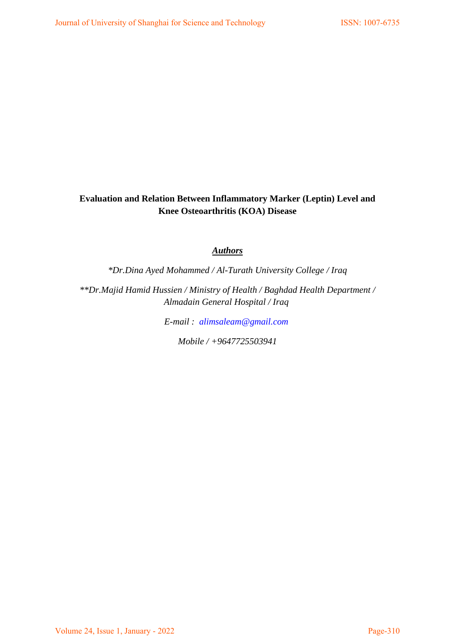# **Evaluation and Relation Between Inflammatory Marker (Leptin) Level and Knee Osteoarthritis (KOA) Disease**

# *Authors*

*\*Dr.Dina Ayed Mohammed / Al-Turath University College / Iraq*

*\*\*Dr.Majid Hamid Hussien / Ministry of Health / Baghdad Health Department / Almadain General Hospital / Iraq* 

*E-mail : [alimsaleam@gmail.com](mailto:alimsaleam@gmail.com)*

*Mobile / +9647725503941*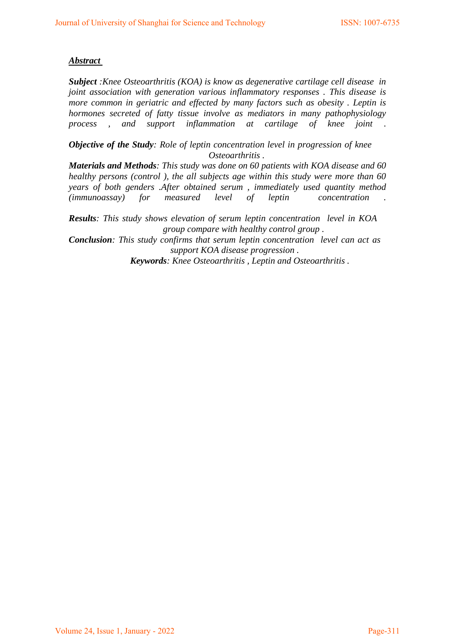### *Abstract*

*Subject :Knee Osteoarthritis (KOA) is know as degenerative cartilage cell disease in joint association with generation various inflammatory responses . This disease is more common in geriatric and effected by many factors such as obesity . Leptin is hormones secreted of fatty tissue involve as mediators in many pathophysiology process , and support inflammation at cartilage of knee joint .* 

*Objective of the Study: Role of leptin concentration level in progression of knee Osteoarthritis .* 

*Materials and Methods: This study was done on 60 patients with KOA disease and 60 healthy persons (control ), the all subjects age within this study were more than 60 years of both genders .After obtained serum , immediately used quantity method (immunoassay) for measured level of leptin concentration .* 

*Results: This study shows elevation of serum leptin concentration level in KOA group compare with healthy control group .* 

*Conclusion: This study confirms that serum leptin concentration level can act as support KOA disease progression .* 

*Keywords: Knee Osteoarthritis , Leptin and Osteoarthritis .*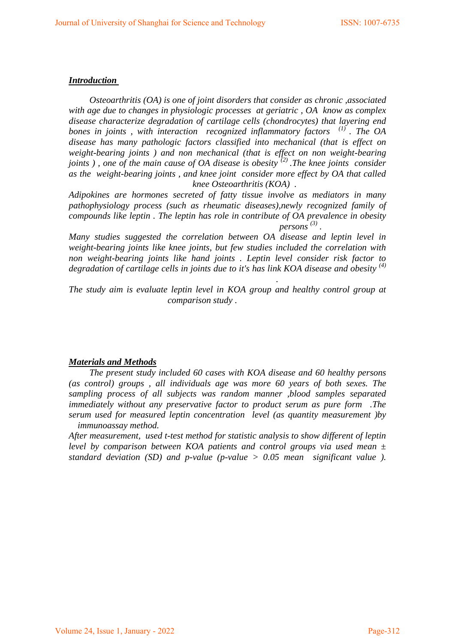### *Introduction*

 *Osteoarthritis (OA) is one of joint disorders that consider as chronic ,associated with age due to changes in physiologic processes at geriatric , OA know as complex disease characterize degradation of cartilage cells (chondrocytes) that layering end bones in joints , with interaction recognized inflammatory factors (1) . The OA disease has many pathologic factors classified into mechanical (that is effect on weight-bearing joints ) and non mechanical (that is effect on non weight-bearing joints ) , one of the main cause of OA disease is obesity (2) .The knee joints consider as the weight-bearing joints , and knee joint consider more effect by OA that called knee Osteoarthritis (KOA) .* 

*Adipokines are hormones secreted of fatty tissue involve as mediators in many pathophysiology process (such as rheumatic diseases),newly recognized family of compounds like leptin . The leptin has role in contribute of OA prevalence in obesity persons*<sup>(3)</sup>.

*Many studies suggested the correlation between OA disease and leptin level in weight-bearing joints like knee joints, but few studies included the correlation with non weight-bearing joints like hand joints . Leptin level consider risk factor to degradation of cartilage cells in joints due to it's has link KOA disease and obesity (4)*

*The study aim is evaluate leptin level in KOA group and healthy control group at comparison study .* 

*.* 

#### *Materials and Methods*

 *The present study included 60 cases with KOA disease and 60 healthy persons (as control) groups , all individuals age was more 60 years of both sexes. The sampling process of all subjects was random manner ,blood samples separated immediately without any preservative factor to product serum as pure form .The serum used for measured leptin concentration level (as quantity measurement )by immunoassay method.* 

*After measurement, used t-test method for statistic analysis to show different of leptin level by comparison between KOA patients and control groups via used mean ± standard deviation (SD) and p-value (p-value > 0.05 mean significant value ).*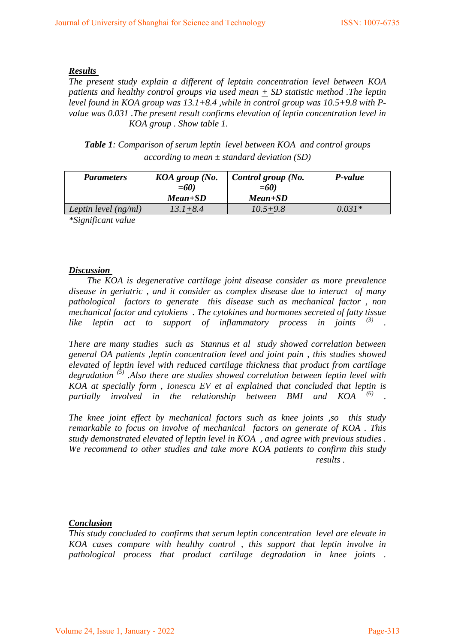#### *Results*

*The present study explain a different of leptain concentration level between KOA patients and healthy control groups via used mean + SD statistic method .The leptin level found in KOA group was*  $13.1 + 8.4$ *, while in control group was*  $10.5 + 9.8$  with P*value was 0.031 .The present result confirms elevation of leptin concentration level in KOA group . Show table 1.* 

*Table 1: Comparison of serum leptin level between KOA and control groups according to mean ± standard deviation (SD)*

| <b>Parameters</b>      | KOA group (No.<br>$=60$ | Control group (No.<br>$=60$ | P-value  |
|------------------------|-------------------------|-----------------------------|----------|
|                        | $Mean + SD$             | Mean+SD                     |          |
| Leptin level $(ng/ml)$ | $13.1 + 8.4$            | $10.5 + 9.8$                | $0.031*$ |

*\*Significant value*

#### *Discussion*

 *The KOA is degenerative cartilage joint disease consider as more prevalence disease in geriatric , and it consider as complex disease due to interact of many pathological factors to generate this disease such as mechanical factor , non mechanical factor and cytokiens . The cytokines and hormones secreted of fatty tissue*  like leptin act to support of inflammatory process in joints <sup>(3)</sup> .

*There are many studies such as Stannus et al study showed correlation between general OA patients ,leptin concentration level and joint pain , this studies showed elevated of leptin level with reduced cartilage thickness that product from cartilage degradation (5) .Also there are studies showed correlation between leptin level with KOA at specially form , Ionescu EV et al explained that concluded that leptin is partially involved in the relationship between BMI and KOA (6) .* 

*The knee joint effect by mechanical factors such as knee joints ,so this study remarkable to focus on involve of mechanical factors on generate of KOA . This study demonstrated elevated of leptin level in KOA , and agree with previous studies . We recommend to other studies and take more KOA patients to confirm this study results .* 

# *Conclusion*

*This study concluded to confirms that serum leptin concentration level are elevate in KOA cases compare with healthy control , this support that leptin involve in pathological process that product cartilage degradation in knee joints .*